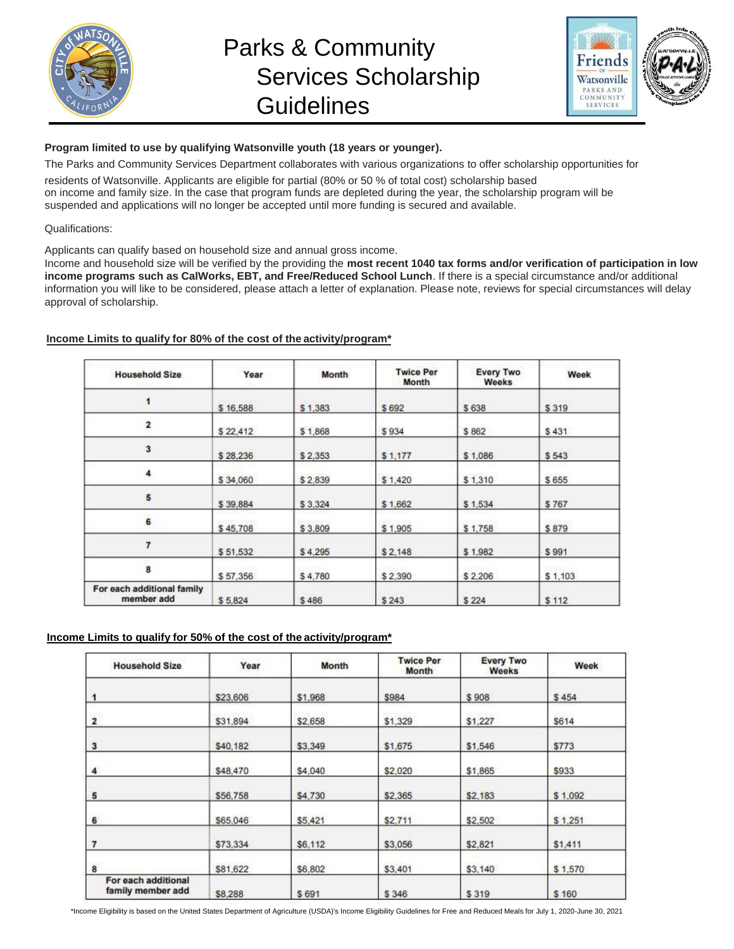

# Parks & Community Services Scholarship **Guidelines**



# **Program limited to use by qualifying Watsonville youth (18 years or younger).**

The Parks and Community Services Department collaborates with various organizations to offer scholarship opportunities for

residents of Watsonville. Applicants are eligible for partial (80% or 50 % of total cost) scholarship based on income and family size. In the case that program funds are depleted during the year, the scholarship program will be suspended and applications will no longer be accepted until more funding is secured and available.

#### Qualifications:

Applicants can qualify based on household size and annual gross income.

Income and household size will be verified by the providing the **most recent 1040 tax forms and/or verification of participation in low income programs such as CalWorks, EBT, and Free/Reduced School Lunch**. If there is a special circumstance and/or additional information you will like to be considered, please attach a letter of explanation. Please note, reviews for special circumstances will delay approval of scholarship.

# **Income Limits to qualify for 80% of the cost of the activity/program\***

| <b>Household Size</b>                    | Year     | Month            | <b>Twice Per</b><br>Month | <b>Every Two</b><br><b>Weeks</b> | Week    |  |
|------------------------------------------|----------|------------------|---------------------------|----------------------------------|---------|--|
| \$16,588                                 |          | \$1,383          | \$692                     | \$638                            | \$319   |  |
| $\overline{2}$<br>\$22,412               |          | \$1,868<br>\$934 |                           | \$862                            | \$431   |  |
| 3                                        | \$28,236 | \$2,353          | \$1,177                   | \$1,086                          | \$543   |  |
| 4                                        | \$34,060 | \$2,839          | \$1,420                   | \$1,310                          | \$655   |  |
| 5                                        | \$39,884 | \$3,324          | \$1,662                   | \$1,534                          | \$767   |  |
| 6                                        | \$45,708 | \$3,809          | \$1,905                   | \$1,758                          | \$879   |  |
| 7                                        | \$51,532 | \$4,295          | \$2,148                   | \$1,982                          | \$991   |  |
| 8                                        | \$57,356 | \$4,780          | \$2,390                   | \$2,206                          | \$1,103 |  |
| For each additional family<br>member add | \$5.824  | \$486            | \$243                     | \$224                            | \$112   |  |

# **Income Limits to qualify for 50% of the cost of the activity/program\***

| <b>Household Size</b>                    | Year     | Month              | <b>Twice Per</b><br>Month | <b>Every Two</b><br>Weeks | Week<br>\$454 |  |
|------------------------------------------|----------|--------------------|---------------------------|---------------------------|---------------|--|
| $\mathbf{1}$                             | \$23,606 | \$1,968            | \$984                     | \$908                     |               |  |
| $\overline{\mathbf{2}}$<br>\$31,894      |          | \$1,329<br>\$2,658 |                           | \$1,227                   | \$614         |  |
| 3<br>\$40,182                            |          | \$1,675<br>\$3,349 |                           | \$1,546                   | \$773         |  |
| 4                                        | \$48,470 |                    | \$2,020<br>\$4,040        |                           | \$933         |  |
| 5<br>\$56,758                            |          | \$2,365<br>\$4,730 |                           | \$2,183                   | \$1.092       |  |
| 6<br>\$65,046                            |          | \$5,421<br>\$2,711 |                           | \$2,502                   | \$1,251       |  |
| $\overline{7}$<br>\$73,334               |          | \$6,112<br>\$3.056 |                           | \$2,821                   | \$1,411       |  |
| 8<br>\$81,622                            |          | \$6,802            | \$3,401                   | \$3,140                   | \$1,570       |  |
| For each additional<br>family member add | \$8,288  | \$691              | \$346                     | \$319                     | \$160         |  |

\*Income Eligibility is based on the United States Department of Agriculture (USDA)'s Income Eligibility Guidelines for Free and Reduced Meals for July 1, 2020-June 30, 2021